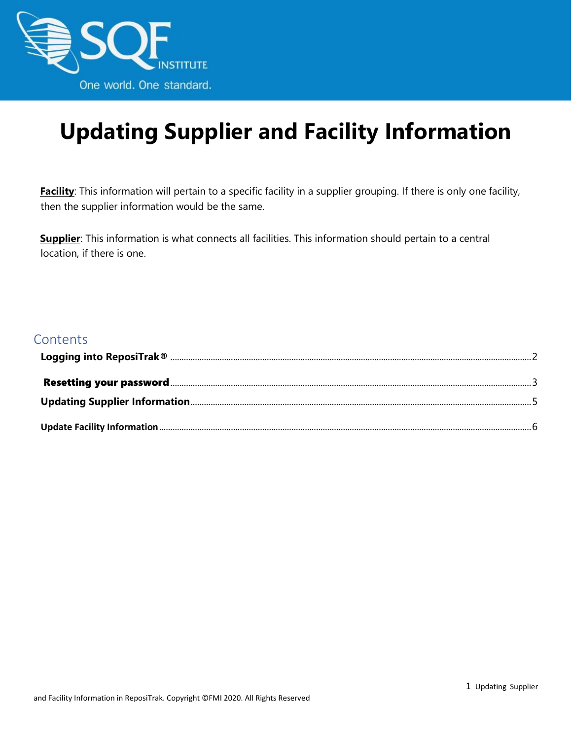

## **Updating Supplier and Facility Information**

**Facility**: This information will pertain to a specific facility in a supplier grouping. If there is only one facility, then the supplier information would be the same.

**Supplier**: This information is what connects all facilities. This information should pertain to a central location, if there is one.

#### **Contents**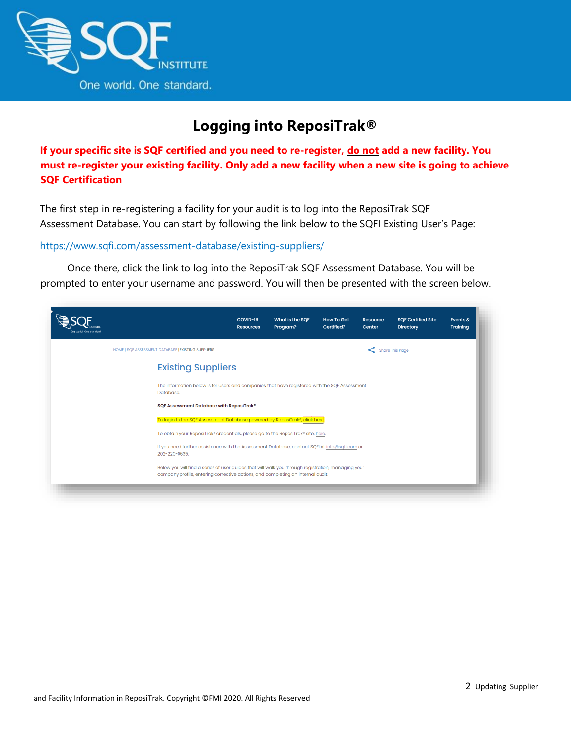

## **Logging into ReposiTrak®**

<span id="page-1-0"></span>**If your specific site is SQF certified and you need to re-register, do not add a new facility. You must re-register your existing facility. Only add a new facility when a new site is going to achieve SQF Certification**

The first step in re-registering a facility for your audit is to log into the ReposiTrak SQF Assessment Database. You can start by following the link below to the SQFI Existing User's Page:

#### <https://www.sqfi.com/assessment-database/existing-suppliers/>

Once there, click the link to log into the ReposiTrak SQF Assessment Database. You will be prompted to enter your username and password. You will then be presented with the screen below.

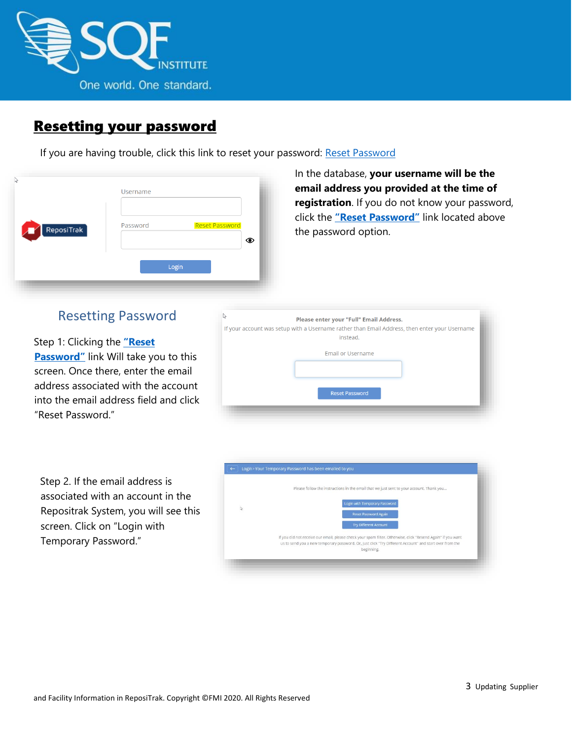

#### <span id="page-2-0"></span>Resetting your password

If you are having trouble, click this link to reset your password: [Reset Password](https://www.ac.parkcitygroup.com/application/vwavecgi/private/vialink.cgi/login/app)

| ß          | Username<br><b>Reset Password</b><br>Password |
|------------|-----------------------------------------------|
| ReposiTrak | ⊙                                             |
| Æ          | Login                                         |

In the database, **your username will be the email address you provided at the time of registration**. If you do not know your password, click the **["Reset Password"](https://www.ac.parkcitygroup.com/application/vwavecgi/private/vialink2.cgi/submit)** link located above the password option.

#### Resetting Password

Step 1: Clicking the **["Reset](https://www.ac.parkcitygroup.com/application/vwavecgi/private/vialink2.cgi/submit)  [Password"](https://www.ac.parkcitygroup.com/application/vwavecgi/private/vialink2.cgi/submit)** link Will take you to this screen. Once there, enter the email address associated with the account into the email address field and click "Reset Password."

| If your account was setup with a Username rather than Email Address, then enter your Username<br>instead. |  |
|-----------------------------------------------------------------------------------------------------------|--|
|                                                                                                           |  |
| <b>Email or Username</b>                                                                                  |  |
| <b>Reset Password</b>                                                                                     |  |

Step 2. If the email address is associated with an account in the Repositrak System, you will see this screen. Click on "Login with Temporary Password."

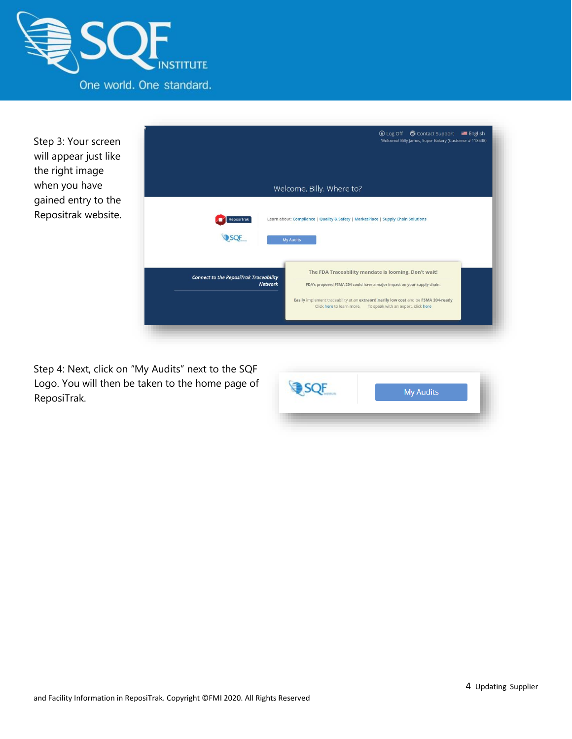

Step 3: Your screen will appear just like the right image when you have gained entry to the Repositrak website.



Step 4: Next, click on "My Audits" next to the SQF Logo. You will then be taken to the home page of ReposiTrak.

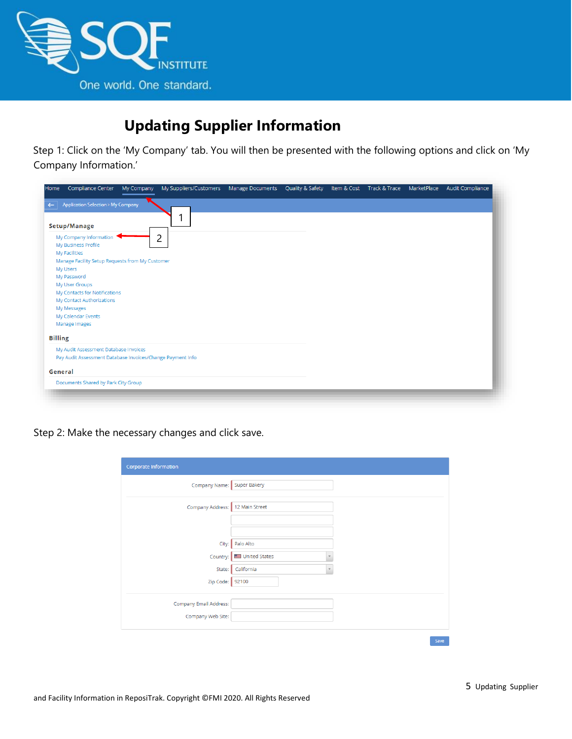

## <span id="page-4-0"></span>**Updating Supplier Information**

Step 1: Click on the 'My Company' tab. You will then be presented with the following options and click on 'My Company Information.'

| Home           | Compliance Center                                          | My Company | My Suppliers/Customers | <b>Manage Documents</b> | Quality & Safety | Item & Cost Track & Trace MarketPlace | Audit Compliance |
|----------------|------------------------------------------------------------|------------|------------------------|-------------------------|------------------|---------------------------------------|------------------|
| $\leftarrow$   | <b>Application Selection &gt; My Company</b>               |            |                        |                         |                  |                                       |                  |
|                |                                                            |            |                        |                         |                  |                                       |                  |
|                | Setup/Manage                                               |            |                        |                         |                  |                                       |                  |
|                | My Company Information                                     |            | っ<br>ے                 |                         |                  |                                       |                  |
|                | My Business Profile                                        |            |                        |                         |                  |                                       |                  |
|                | My Facilities                                              |            |                        |                         |                  |                                       |                  |
|                | Manage Facility Setup Requests from My Customer            |            |                        |                         |                  |                                       |                  |
|                | My Users                                                   |            |                        |                         |                  |                                       |                  |
|                | My Password                                                |            |                        |                         |                  |                                       |                  |
|                | My User Groups                                             |            |                        |                         |                  |                                       |                  |
|                | My Contacts for Notifications<br>My Contact Authorizations |            |                        |                         |                  |                                       |                  |
|                | My Messages                                                |            |                        |                         |                  |                                       |                  |
|                | My Calendar Events                                         |            |                        |                         |                  |                                       |                  |
|                | Manage Images                                              |            |                        |                         |                  |                                       |                  |
|                |                                                            |            |                        |                         |                  |                                       |                  |
| <b>Billing</b> |                                                            |            |                        |                         |                  |                                       |                  |
|                | My Audit Assessment Database Invoices                      |            |                        |                         |                  |                                       |                  |
|                | Pay Audit Assessment Database Invoices/Change Payment Info |            |                        |                         |                  |                                       |                  |
|                |                                                            |            |                        |                         |                  |                                       |                  |
| General        |                                                            |            |                        |                         |                  |                                       |                  |
|                | Documents Shared by Park City Group                        |            |                        |                         |                  |                                       |                  |
|                |                                                            |            |                        |                         |                  |                                       |                  |
|                |                                                            |            |                        |                         |                  |                                       |                  |

Step 2: Make the necessary changes and click save.

| Corporate Information           |                                           |
|---------------------------------|-------------------------------------------|
| Company Name: Super Bakery      |                                           |
| Company Address: 12 Main Street |                                           |
|                                 |                                           |
|                                 | City: Palo Alto                           |
| Country:                        | United States<br>$\overline{\phantom{a}}$ |
| State:                          | California                                |
| Zip Code: 92100                 |                                           |
| Company Email Address:          |                                           |
| Company Web Site:               |                                           |
|                                 |                                           |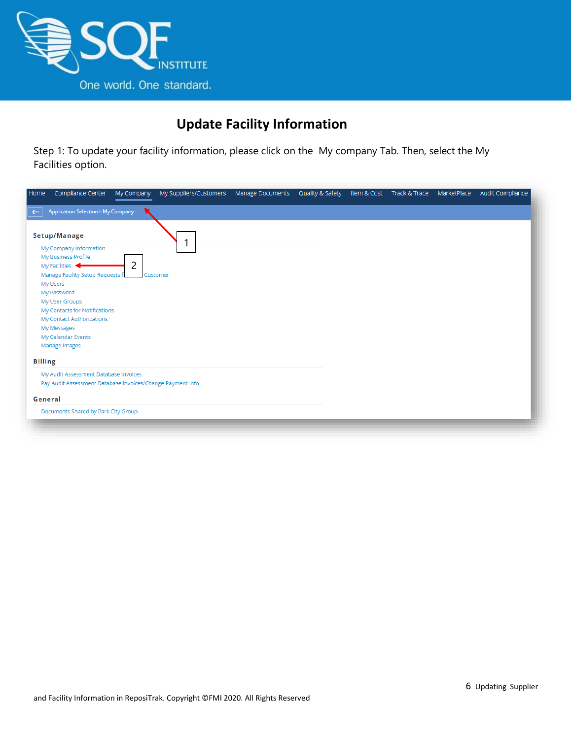

## **Update Facility Information**

<span id="page-5-0"></span>Step 1: To update your facility information, please click on the My company Tab. Then, select the My Facilities option.

| Home           | Compliance Center                                                                                                                                                                                                                                                  | My Company | My Suppliers/Customers | Manage Documents | Quality & Safety | Item & Cost Track & Trace | MarketPlace | Audit Compliance |
|----------------|--------------------------------------------------------------------------------------------------------------------------------------------------------------------------------------------------------------------------------------------------------------------|------------|------------------------|------------------|------------------|---------------------------|-------------|------------------|
| $\leftarrow$   | <b>Application Selection &gt; My Company</b>                                                                                                                                                                                                                       |            |                        |                  |                  |                           |             |                  |
|                | Setup/Manage<br>My Company Information<br>My Business Profile<br>My Facilities<br>Manage Facility Setup Requests f<br>My Users<br>My Password<br>My User Groups<br>My Contacts for Notifications<br>My Contact Authorizations<br>My Messages<br>My Calendar Events | 2          | Customer               |                  |                  |                           |             |                  |
|                | Manage Images                                                                                                                                                                                                                                                      |            |                        |                  |                  |                           |             |                  |
| <b>Billing</b> |                                                                                                                                                                                                                                                                    |            |                        |                  |                  |                           |             |                  |
|                | My Audit Assessment Database Invoices<br>Pay Audit Assessment Database Invoices/Change Payment Info                                                                                                                                                                |            |                        |                  |                  |                           |             |                  |
| General        |                                                                                                                                                                                                                                                                    |            |                        |                  |                  |                           |             |                  |
|                | Documents Shared by Park City Group                                                                                                                                                                                                                                |            |                        |                  |                  |                           |             |                  |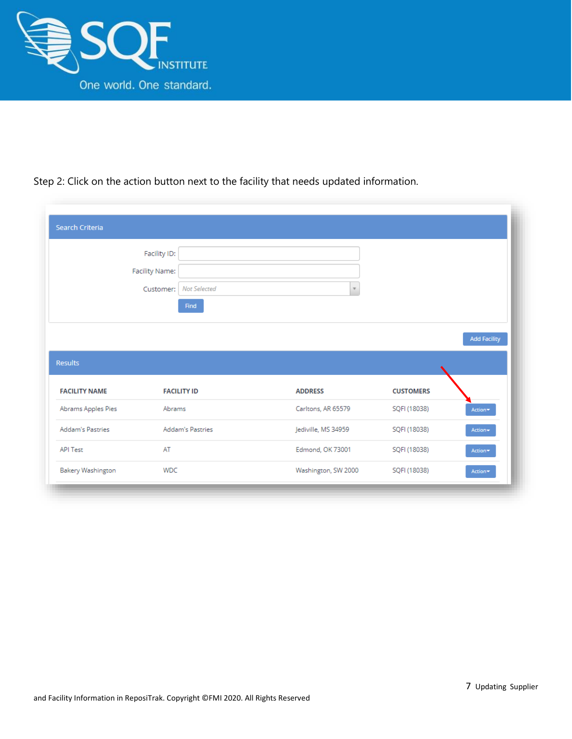

#### Step 2: Click on the action button next to the facility that needs updated information.

|                                                                  | Facility ID:                     |                     |                  |                     |
|------------------------------------------------------------------|----------------------------------|---------------------|------------------|---------------------|
|                                                                  | Facility Name:                   |                     |                  |                     |
|                                                                  | <b>Not Selected</b><br>Customer: | $\tau$              |                  |                     |
|                                                                  | Find                             |                     |                  |                     |
|                                                                  |                                  |                     |                  |                     |
|                                                                  |                                  |                     |                  |                     |
|                                                                  |                                  |                     |                  | <b>Add Facility</b> |
|                                                                  |                                  |                     |                  |                     |
| <b>Results</b>                                                   |                                  |                     |                  |                     |
| <b>FACILITY NAME</b>                                             | <b>FACILITY ID</b>               | <b>ADDRESS</b>      | <b>CUSTOMERS</b> |                     |
|                                                                  | Abrams                           | Carltons, AR 65579  | SQFI (18038)     | Action*             |
|                                                                  | <b>Addam's Pastries</b>          | Jediville, MS 34959 | SQFI (18038)     | Action-             |
| Abrams Apples Pies<br><b>Addam's Pastries</b><br><b>API Test</b> | AT                               | Edmond, OK 73001    | SQFI (18038)     | Action*             |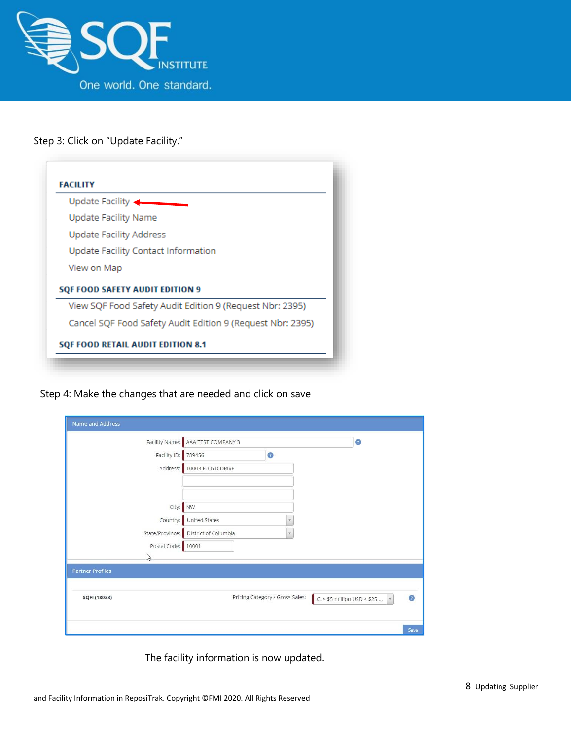

#### Step 3: Click on "Update Facility."

| Update Facility             |                                                            |
|-----------------------------|------------------------------------------------------------|
| <b>Update Facility Name</b> |                                                            |
|                             | <b>Update Facility Address</b>                             |
|                             | Update Facility Contact Information                        |
| View on Map                 |                                                            |
|                             | <b>SQF FOOD SAFETY AUDIT EDITION 9</b>                     |
|                             | View SQF Food Safety Audit Edition 9 (Request Nbr: 2395)   |
|                             | Cancel SQF Food Safety Audit Edition 9 (Request Nbr: 2395) |

Step 4: Make the changes that are needed and click on save

| Name and Address        |                            |                                 |                                               |
|-------------------------|----------------------------|---------------------------------|-----------------------------------------------|
| Facility Name:          | AAA TEST COMPANY 3         |                                 | $\circ$                                       |
| Facility ID:            | 789456                     | $\bullet$                       |                                               |
|                         | Address: 10003 FLOYD DRIVE |                                 |                                               |
|                         |                            |                                 |                                               |
|                         |                            |                                 |                                               |
|                         | City: NW                   |                                 |                                               |
| Country:                | United States              | $\mathbf v$                     |                                               |
| State/Province:         | District of Columbia       | $\mathcal{F}$                   |                                               |
| Postal Code: 10001      |                            |                                 |                                               |
| B                       |                            |                                 |                                               |
| <b>Partner Profiles</b> |                            |                                 |                                               |
|                         |                            |                                 |                                               |
| SQFI (18038)            |                            | Pricing Category / Gross Sales: | $\bullet$<br>$C > $5$ million USD < \$25<br>¥ |
|                         |                            |                                 |                                               |
|                         |                            |                                 | Save                                          |

The facility information is now updated.